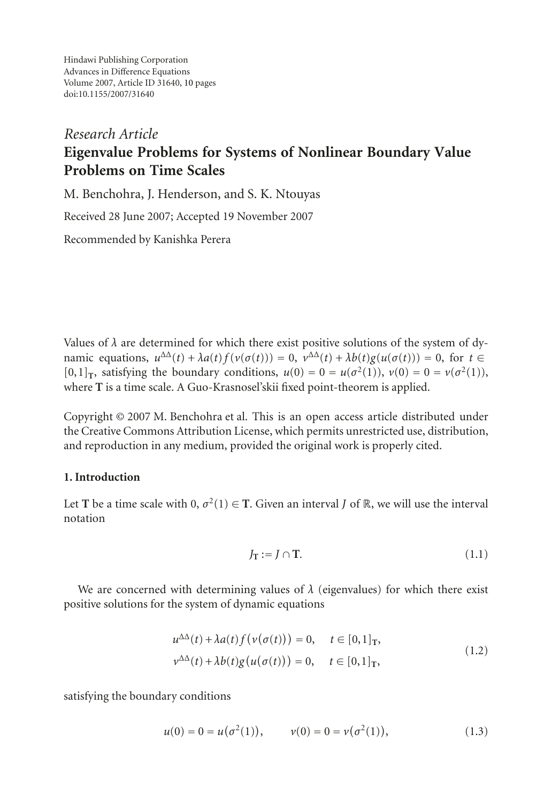Hindawi Publishing Corporation Advances in Difference Equations Volume 2007, Article ID 31640, [10](#page-8-0) pages doi:10.1155/2007/31640

# *Research Article* **Eigenvalue Problems for Systems of Nonlinear Boundary Value Problems on Time Scales**

M. Benchohra, J. Henderson, and S. K. Ntouyas

Received 28 June 2007; Accepted 19 November 2007

Recommended by Kanishka Perera

Values of  $\lambda$  are determined for which there exist positive solutions of the system of dynamic equations,  $u^{\Delta\Delta}(t) + \lambda a(t) f(v(\sigma(t))) = 0$ ,  $v^{\Delta\Delta}(t) + \lambda b(t) g(u(\sigma(t))) = 0$ , for  $t \in$  $[0,1]$ <sub>T</sub>, satisfying the boundary conditions,  $u(0) = 0 = u(\sigma^2(1))$ ,  $v(0) = 0 = v(\sigma^2(1))$ , where **T** is a time scale. A Guo-Krasnosel'skii fixed point-theorem is applied.

Copyright © 2007 M. Benchohra et al. This is an open access article distributed under the Creative Commons Attribution License, which permits unrestricted use, distribution, and reproduction in any medium, provided the original work is properly cited.

## **1. Introduction**

Let **T** be a time scale with  $0, \sigma^2(1) \in \mathbf{T}$ . Given an interval *J* of  $\mathbb{R}$ , we will use the interval notation

<span id="page-0-1"></span><span id="page-0-0"></span>
$$
J_{\mathbf{T}} := J \cap \mathbf{T}.\tag{1.1}
$$

We are concerned with determining values of  $\lambda$  (eigenvalues) for which there exist positive solutions for the system of dynamic equations

$$
u^{\Delta\Delta}(t) + \lambda a(t) f(\nu(\sigma(t))) = 0, \quad t \in [0,1]_T,
$$
  

$$
\nu^{\Delta\Delta}(t) + \lambda b(t) g(u(\sigma(t))) = 0, \quad t \in [0,1]_T,
$$
 (1.2)

satisfying the boundary conditions

$$
u(0) = 0 = u(\sigma^2(1)), \qquad v(0) = 0 = v(\sigma^2(1)), \tag{1.3}
$$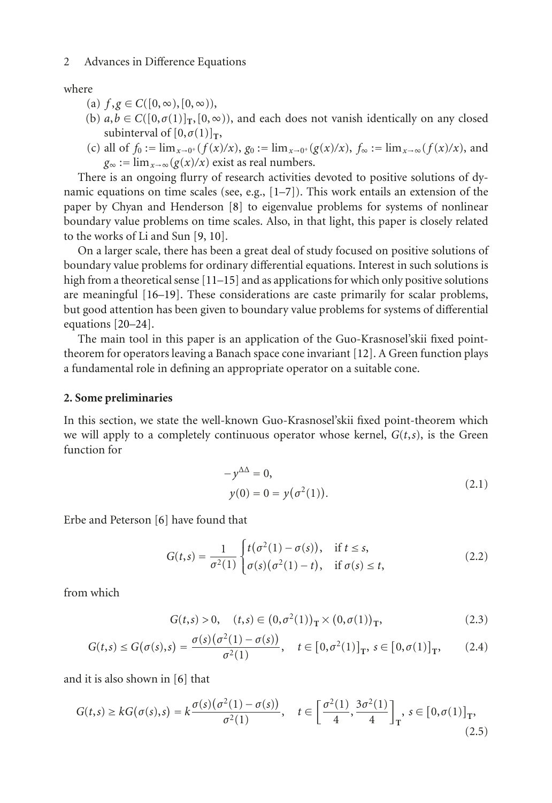where

- (a)  $f, g \in C([0, \infty), [0, \infty))$ ,
- (b)  $a, b \in C([0, \sigma(1)]_T, [0, \infty))$ , and each does not vanish identically on any closed subinterval of  $[0, \sigma(1)]_T$ ,
- (c) all of  $f_0 := \lim_{x \to 0^+} (f(x)/x)$ ,  $g_0 := \lim_{x \to 0^+} (g(x)/x)$ ,  $f_\infty := \lim_{x \to \infty} (f(x)/x)$ , and  $g_{\infty} := \lim_{x \to \infty} (g(x)/x)$  exist as real numbers.

There is an ongoing flurry of research activities devoted to positive solutions of dynamic equations on time scales (see, e.g.,  $[1-7]$  $[1-7]$ ). This work entails an extension of the paper by Chyan and Henderson [\[8](#page-9-0)] to eigenvalue problems for systems of nonlinear boundary value problems on time scales. Also, in that light, this paper is closely related to the works of Li and Sun [\[9,](#page-9-1) [10](#page-9-2)].

On a larger scale, there has been a great deal of study focused on positive solutions of boundary value problems for ordinary differential equations. Interest in such solutions is high from a theoretical sense [\[11](#page-9-3)[–15](#page-9-4)] and as applications for which only positive solutions are meaningful [\[16](#page-9-5)[–19\]](#page-9-6). These considerations are caste primarily for scalar problems, but good attention has been given to boundary value problems for systems of differential equations [\[20](#page-9-7)[–24\]](#page-9-8).

The main tool in this paper is an application of the Guo-Krasnosel'skii fixed pointtheorem for operators leaving a Banach space cone invariant [\[12\]](#page-9-9). A Green function plays a fundamental role in defining an appropriate operator on a suitable cone.

### <span id="page-1-0"></span>**2. Some preliminaries**

In this section, we state the well-known Guo-Krasnosel'skii fixed point-theorem which we will apply to a completely continuous operator whose kernel,  $G(t,s)$ , is the Green function for

<span id="page-1-1"></span>
$$
-y^{\Delta \Delta} = 0,
$$
  
\n
$$
y(0) = 0 = y(\sigma^2(1)).
$$
\n(2.1)

Erbe and Peterson [\[6](#page-8-3)] have found that

$$
G(t,s) = \frac{1}{\sigma^2(1)} \begin{cases} t(\sigma^2(1) - \sigma(s)), & \text{if } t \le s, \\ \sigma(s)(\sigma^2(1) - t), & \text{if } \sigma(s) \le t, \end{cases} \tag{2.2}
$$

from which

<span id="page-1-3"></span><span id="page-1-2"></span>
$$
G(t,s) > 0, \quad (t,s) \in (0, \sigma^2(1))_{\mathcal{T}} \times (0, \sigma(1))_{\mathcal{T}}, \tag{2.3}
$$

$$
G(t,s) \le G(\sigma(s),s) = \frac{\sigma(s)(\sigma^2(1) - \sigma(s))}{\sigma^2(1)}, \quad t \in [0,\sigma^2(1)]_T, \ s \in [0,\sigma(1)]_T,
$$
 (2.4)

and it is also shown in [\[6\]](#page-8-3) that

$$
G(t,s) \geq kG(\sigma(s),s) = k\frac{\sigma(s)(\sigma^2(1) - \sigma(s))}{\sigma^2(1)}, \quad t \in \left[\frac{\sigma^2(1)}{4}, \frac{3\sigma^2(1)}{4}\right]_T, \ s \in [0, \sigma(1)]_T,
$$
\n(2.5)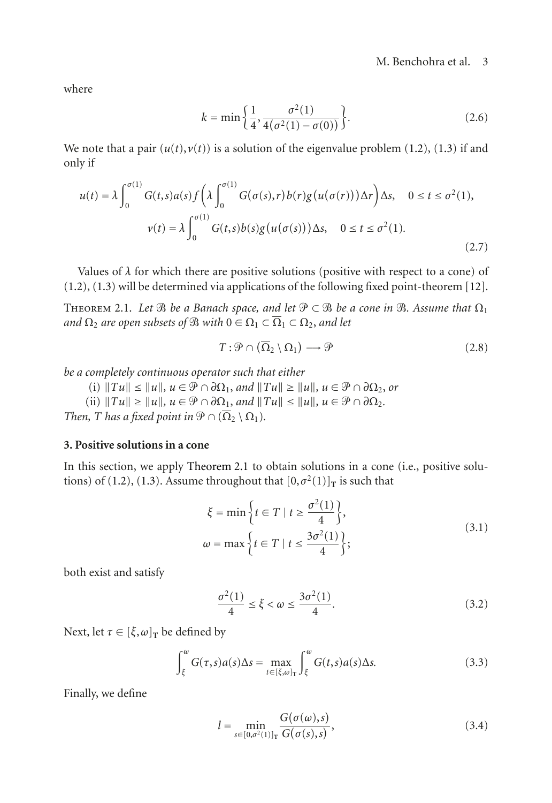where

$$
k = \min\left\{\frac{1}{4}, \frac{\sigma^2(1)}{4(\sigma^2(1) - \sigma(0))}\right\}.
$$
 (2.6)

We note that a pair  $(u(t), v(t))$  is a solution of the eigenvalue problem  $(1.2)$ ,  $(1.3)$  if and only if

$$
u(t) = \lambda \int_0^{\sigma(1)} G(t,s)a(s) f\left(\lambda \int_0^{\sigma(1)} G(\sigma(s),r) b(r)g(u(\sigma(r))) \Delta r\right) \Delta s, \quad 0 \le t \le \sigma^2(1),
$$
  

$$
v(t) = \lambda \int_0^{\sigma(1)} G(t,s)b(s)g(u(\sigma(s))) \Delta s, \quad 0 \le t \le \sigma^2(1).
$$
 (2.7)

<span id="page-2-0"></span>Values of  $\lambda$  for which there are positive solutions (positive with respect to a cone) of [\(1.2\)](#page-0-0), [\(1.3\)](#page-0-1) will be determined via applications of the following fixed point-theorem [\[12\]](#page-9-9).

THEOREM 2.1. Let  $\mathfrak{B}$  be a Banach space, and let  $\mathfrak{P} \subset \mathfrak{B}$  be a cone in  $\mathfrak{B}$ . Assume that  $\Omega_1$ and  $\Omega_2$  are open subsets of  $\mathfrak{B}$  with  $0 \in \Omega_1 \subset \overline{\Omega}_1 \subset \Omega_2$ , and let

$$
T: \mathcal{P} \cap (\overline{\Omega}_2 \setminus \Omega_1) \longrightarrow \mathcal{P}
$$
 (2.8)

*be a completely continuous operator such that either*

 $\mathcal{L}[i]$   $\|Tu\| \leq \|u\|, u \in \mathcal{P} \cap \partial \Omega_1, \text{ and } \|Tu\| \geq \|u\|, u \in \mathcal{P} \cap \partial \Omega_2, \text{ or } u \in \partial \Omega_1$ 

 $\mathbb{E} \{ \text{if } \|T\| \geq \|u\|, u \in \mathcal{P} \cap \partial \Omega_1, \text{ and } \|Tu\| \leq \|u\|, u \in \mathcal{P} \cap \partial \Omega_2.$ 

*Then, T has a fixed point in*  $\mathcal{P} \cap (\overline{\Omega}_2 \setminus \Omega_1)$ *.* 

## **3. Positive solutions in a cone**

In this section, we apply [Theorem 2.1](#page-2-0) to obtain solutions in a cone (i.e., positive solu-tions) of [\(1.2\)](#page-0-0), [\(1.3\)](#page-0-1). Assume throughout that  $[0, \sigma^2(1)]$ <sub>T</sub> is such that

$$
\xi = \min\left\{t \in T \mid t \ge \frac{\sigma^2(1)}{4}\right\},\
$$
  
\n
$$
\omega = \max\left\{t \in T \mid t \le \frac{3\sigma^2(1)}{4}\right\};
$$
\n(3.1)

both exist and satisfy

$$
\frac{\sigma^2(1)}{4} \le \xi < \omega \le \frac{3\sigma^2(1)}{4}.\tag{3.2}
$$

Next, let  $\tau \in [\xi, \omega]_T$  be defined by

$$
\int_{\xi}^{\omega} G(\tau, s) a(s) \Delta s = \max_{t \in [\xi, \omega]_{\mathcal{T}}} \int_{\xi}^{\omega} G(t, s) a(s) \Delta s. \tag{3.3}
$$

Finally, we define

$$
l = \min_{s \in [0,\sigma^2(1)]_T} \frac{G(\sigma(\omega),s)}{G(\sigma(s),s)},
$$
\n(3.4)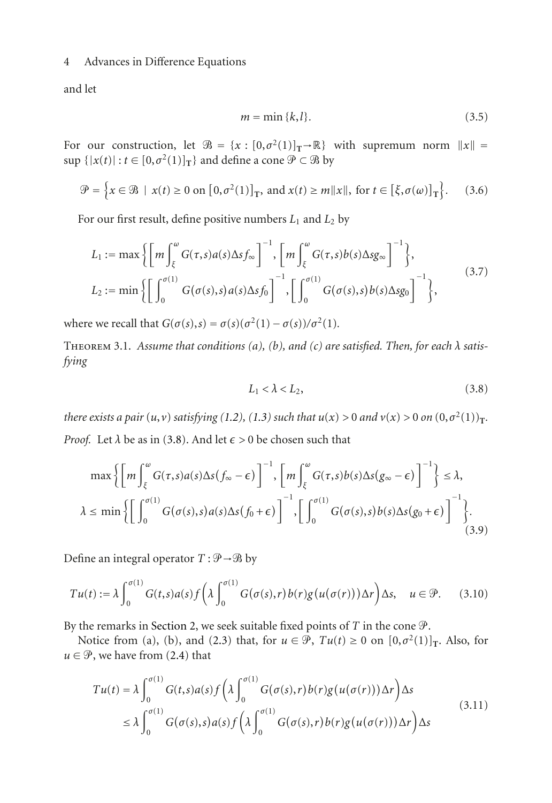and let

<span id="page-3-1"></span>
$$
m = \min\{k, l\}.\tag{3.5}
$$

For our construction, let  $\mathcal{B} = \{x : [0, \sigma^2(1)]_T \rightarrow \mathbb{R}\}$  with supremum norm  $||x|| =$ <br>sup  $\{|x(t)| : t \in [0, \sigma^2(1)]_T\}$  and define a cone  $\mathcal{P} \subset \mathcal{B}$  by  $\sup \{|x(t)| : t \in [0, \sigma^2(1)]_T\}$  and define a cone  $\mathcal{P} \subset \mathcal{B}$  by

$$
\mathcal{P} = \left\{ x \in \mathcal{B} \mid x(t) \ge 0 \text{ on } [0, \sigma^2(1)]_T, \text{ and } x(t) \ge m \|x\|, \text{ for } t \in [\xi, \sigma(\omega)]_T \right\}. \tag{3.6}
$$

For our first result, define positive numbers *<sup>L</sup>*<sup>1</sup> and *<sup>L</sup>*<sup>2</sup> by

$$
L_1 := \max\left\{ \left[ m \int_{\xi}^{\omega} G(\tau, s) a(s) \Delta s f_{\infty} \right]^{-1}, \left[ m \int_{\xi}^{\omega} G(\tau, s) b(s) \Delta s g_{\infty} \right]^{-1} \right\},
$$
  
\n
$$
L_2 := \min\left\{ \left[ \int_0^{\sigma(1)} G(\sigma(s), s) a(s) \Delta s f_0 \right]^{-1}, \left[ \int_0^{\sigma(1)} G(\sigma(s), s) b(s) \Delta s g_0 \right]^{-1} \right\},
$$
\n(3.7)

where we recall that  $G(\sigma(s), s) = \sigma(s)(\sigma^2(1) - \sigma(s))/\sigma^2(1)$ .

Theorem 3.1. *Assume that conditions (a), (b), and (c) are satisfied. Then, for each λ satisfying*

<span id="page-3-2"></span><span id="page-3-0"></span>
$$
L_1 < \lambda < L_2,\tag{3.8}
$$

there exists a pair  $(u, v)$  satisfying [\(1.2\)](#page-0-0), [\(1.3\)](#page-0-1) such that  $u(x) > 0$  and  $v(x) > 0$  on  $(0, \sigma^2(1))_T$ . *Proof.* Let  $\lambda$  be as in [\(3.8\)](#page-3-0). And let  $\epsilon > 0$  be chosen such that

$$
\max \left\{ \left[ m \int_{\xi}^{\omega} G(\tau, s) a(s) \Delta s (f_{\infty} - \epsilon) \right]^{-1}, \left[ m \int_{\xi}^{\omega} G(\tau, s) b(s) \Delta s (g_{\infty} - \epsilon) \right]^{-1} \right\} \le \lambda,
$$
  

$$
\lambda \le \min \left\{ \left[ \int_{0}^{\sigma(1)} G(\sigma(s), s) a(s) \Delta s (f_{0} + \epsilon) \right]^{-1}, \left[ \int_{0}^{\sigma(1)} G(\sigma(s), s) b(s) \Delta s (g_{0} + \epsilon) \right]^{-1} \right\}.
$$
(3.9)

Define an integral operator  $T : \mathcal{P} \rightarrow \mathcal{P}$  by

$$
Tu(t) := \lambda \int_0^{\sigma(1)} G(t,s)a(s) f\left(\lambda \int_0^{\sigma(1)} G(\sigma(s),r) b(r)g(u(\sigma(r))) \Delta r\right) \Delta s, \quad u \in \mathcal{P}.
$$
 (3.10)

By the remarks in [Section 2,](#page-1-0) we seek suitable fixed points of  $T$  in the cone  $\mathcal{P}$ .

Notice from (a), (b), and [\(2.3\)](#page-1-1) that, for  $u \in \mathcal{P}$ ,  $Tu(t) \ge 0$  on  $[0, \sigma^2(1)]_T$ . Also, for  $u \in \mathcal{P}$ , we have from [\(2.4\)](#page-1-2) that

$$
Tu(t) = \lambda \int_0^{\sigma(1)} G(t,s)a(s) f\left(\lambda \int_0^{\sigma(1)} G(\sigma(s),r) b(r)g(u(\sigma(r))) \Delta r\right) \Delta s
$$
  
\n
$$
\leq \lambda \int_0^{\sigma(1)} G(\sigma(s),s)a(s) f\left(\lambda \int_0^{\sigma(1)} G(\sigma(s),r) b(r)g(u(\sigma(r))) \Delta r\right) \Delta s
$$
\n(3.11)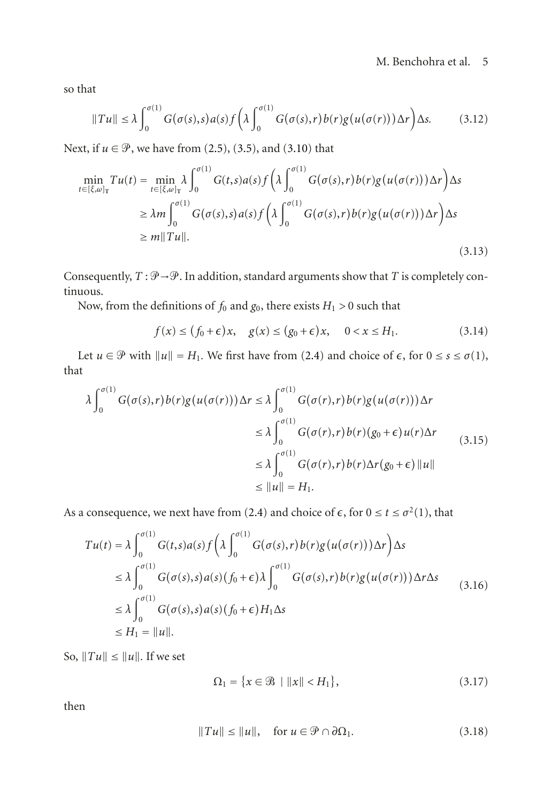so that

$$
||Tu|| \leq \lambda \int_0^{\sigma(1)} G(\sigma(s), s) a(s) f\left(\lambda \int_0^{\sigma(1)} G(\sigma(s), r) b(r) g(u(\sigma(r))) \Delta r\right) \Delta s. \tag{3.12}
$$

Next, if  $u \in \mathcal{P}$ , we have from [\(2.5\)](#page-1-3), [\(3.5\)](#page-3-1), and [\(3.10\)](#page-3-2) that

$$
\min_{t \in [\xi, \omega]_{\mathcal{T}}} Tu(t) = \min_{t \in [\xi, \omega]_{\mathcal{T}}} \lambda \int_0^{\sigma(1)} G(t, s) a(s) f\left(\lambda \int_0^{\sigma(1)} G(\sigma(s), r) b(r) g(u(\sigma(r))) \Delta r\right) \Delta s
$$
  
\n
$$
\geq \lambda m \int_0^{\sigma(1)} G(\sigma(s), s) a(s) f\left(\lambda \int_0^{\sigma(1)} G(\sigma(s), r) b(r) g(u(\sigma(r))) \Delta r\right) \Delta s
$$
  
\n
$$
\geq m ||Tu||. \tag{3.13}
$$

Consequently,  $T : \mathcal{P} \rightarrow \mathcal{P}$ . In addition, standard arguments show that *T* is completely continuous.

Now, from the definitions of  $f_0$  and  $g_0$ , there exists  $H_1 > 0$  such that

$$
f(x) \le (f_0 + \epsilon)x, \quad g(x) \le (g_0 + \epsilon)x, \quad 0 < x \le H_1. \tag{3.14}
$$

Let *u*  $\in \mathcal{P}$  with  $||u|| = H_1$ . We first have from [\(2.4\)](#page-1-2) and choice of  $\epsilon$ , for  $0 \le s \le \sigma(1)$ , that

$$
\lambda \int_0^{\sigma(1)} G(\sigma(s), r) b(r) g(u(\sigma(r))) \Delta r \le \lambda \int_0^{\sigma(1)} G(\sigma(r), r) b(r) g(u(\sigma(r))) \Delta r
$$
  
\n
$$
\le \lambda \int_0^{\sigma(1)} G(\sigma(r), r) b(r) (g_0 + \epsilon) u(r) \Delta r
$$
  
\n
$$
\le \lambda \int_0^{\sigma(1)} G(\sigma(r), r) b(r) \Delta r (g_0 + \epsilon) ||u||
$$
  
\n
$$
\le ||u|| = H_1.
$$
\n(3.15)

As a consequence, we next have from [\(2.4\)](#page-1-2) and choice of  $\epsilon$ , for  $0 \le t \le \sigma^2(1)$ , that

$$
Tu(t) = \lambda \int_0^{\sigma(1)} G(t,s)a(s) f\left(\lambda \int_0^{\sigma(1)} G(\sigma(s),r) b(r)g(u(\sigma(r)))\Delta r\right) \Delta s
$$
  
\n
$$
\leq \lambda \int_0^{\sigma(1)} G(\sigma(s),s)a(s) (f_0 + \epsilon) \lambda \int_0^{\sigma(1)} G(\sigma(s),r) b(r)g(u(\sigma(r)))\Delta r \Delta s
$$
  
\n
$$
\leq \lambda \int_0^{\sigma(1)} G(\sigma(s),s)a(s) (f_0 + \epsilon) H_1 \Delta s
$$
  
\n
$$
\leq H_1 = ||u||.
$$
 (3.16)

So,  $||Tu|| \le ||u||$ . If we set

<span id="page-4-0"></span>
$$
\Omega_1 = \{ x \in \mathcal{B} \mid ||x|| < H_1 \},\tag{3.17}
$$

then

$$
||Tu|| \le ||u||, \quad \text{for } u \in \mathcal{P} \cap \partial \Omega_1. \tag{3.18}
$$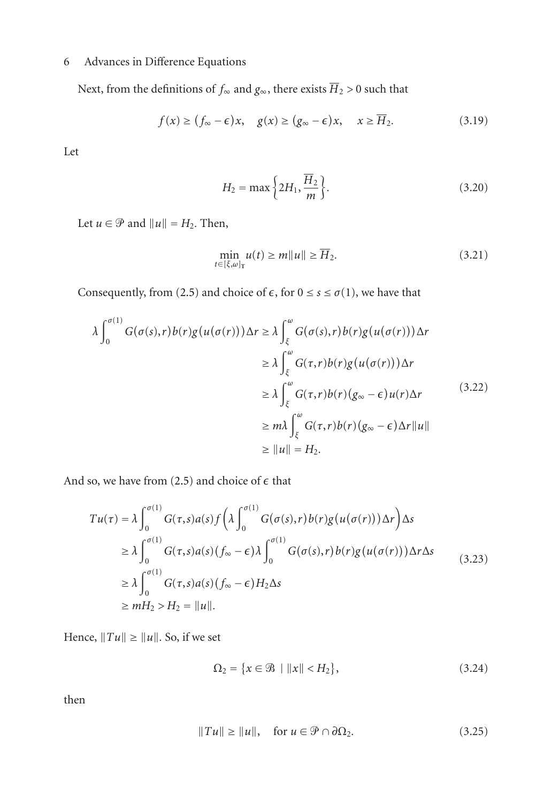Next, from the definitions of  $f_{\infty}$  and  $g_{\infty}$ , there exists  $\overline{H}_2 > 0$  such that

$$
f(x) \ge (f_{\infty} - \epsilon)x, \quad g(x) \ge (g_{\infty} - \epsilon)x, \quad x \ge \overline{H}_2.
$$
 (3.19)

Let

$$
H_2 = \max\left\{2H_1, \frac{\overline{H}_2}{m}\right\}.
$$
\n(3.20)

Let  $u \in \mathcal{P}$  and  $||u|| = H_2$ . Then,

$$
\min_{t \in [\xi, \omega]_T} u(t) \ge m \|u\| \ge \overline{H}_2. \tag{3.21}
$$

Consequently, from [\(2.5\)](#page-1-3) and choice of  $\epsilon$ , for  $0 \le s \le \sigma(1)$ , we have that

$$
\lambda \int_0^{\sigma(1)} G(\sigma(s), r) b(r) g(u(\sigma(r))) \Delta r \ge \lambda \int_{\xi}^{\omega} G(\sigma(s), r) b(r) g(u(\sigma(r))) \Delta r
$$
  
\n
$$
\ge \lambda \int_{\xi}^{\omega} G(\tau, r) b(r) g(u(\sigma(r))) \Delta r
$$
  
\n
$$
\ge \lambda \int_{\xi}^{\omega} G(\tau, r) b(r) (g_{\infty} - \epsilon) u(r) \Delta r
$$
  
\n
$$
\ge m \lambda \int_{\xi}^{\omega} G(\tau, r) b(r) (g_{\infty} - \epsilon) \Delta r ||u||
$$
  
\n
$$
\ge ||u|| = H_2.
$$
 (3.22)

And so, we have from  $(2.5)$  and choice of  $\epsilon$  that

$$
Tu(\tau) = \lambda \int_0^{\sigma(1)} G(\tau, s) a(s) f\left(\lambda \int_0^{\sigma(1)} G(\sigma(s), r) b(r) g(u(\sigma(r))) \Delta r\right) \Delta s
$$
  
\n
$$
\geq \lambda \int_0^{\sigma(1)} G(\tau, s) a(s) (f_{\infty} - \epsilon) \lambda \int_0^{\sigma(1)} G(\sigma(s), r) b(r) g(u(\sigma(r))) \Delta r \Delta s
$$
  
\n
$$
\geq \lambda \int_0^{\sigma(1)} G(\tau, s) a(s) (f_{\infty} - \epsilon) H_2 \Delta s
$$
  
\n
$$
\geq m H_2 > H_2 = ||u||.
$$
 (3.23)

Hence,  $||Tu|| \ge ||u||$ . So, if we set

<span id="page-5-0"></span>
$$
\Omega_2 = \{ x \in \mathcal{B} \mid ||x|| < H_2 \},\tag{3.24}
$$

then

$$
||Tu|| \ge ||u||, \quad \text{for } u \in \mathcal{P} \cap \partial \Omega_2. \tag{3.25}
$$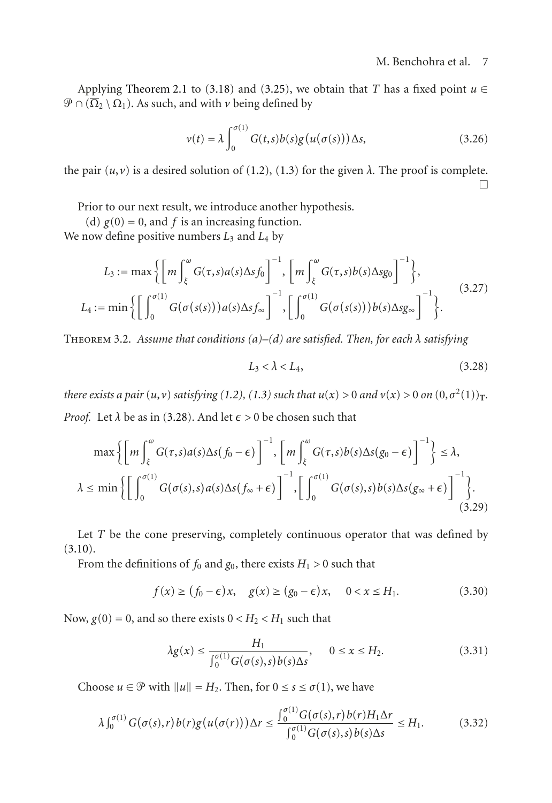Applying [Theorem 2.1](#page-2-0) to [\(3.18\)](#page-4-0) and [\(3.25\)](#page-5-0), we obtain that *T* has a fixed point  $u \in$  $\mathcal{P} \cap (\overline{\Omega}_2 \setminus \Omega_1)$ . As such, and with *v* being defined by

$$
\nu(t) = \lambda \int_0^{\sigma(1)} G(t,s)b(s)g(u(\sigma(s)))\Delta s,\tag{3.26}
$$

the pair  $(u, v)$  is a desired solution of [\(1.2\)](#page-0-0), [\(1.3\)](#page-0-1) for the given  $\lambda$ . The proof is complete.  $\Box$ 

Prior to our next result, we introduce another hypothesis.

(d)  $g(0) = 0$ , and *f* is an increasing function. We now define positive numbers *<sup>L</sup>*<sup>3</sup> and *<sup>L</sup>*<sup>4</sup> by

$$
L_3 := \max\left\{ \left[ m \int_{\xi}^{\omega} G(\tau, s) a(s) \Delta s f_0 \right]^{-1}, \left[ m \int_{\xi}^{\omega} G(\tau, s) b(s) \Delta s g_0 \right]^{-1} \right\},
$$
  

$$
L_4 := \min\left\{ \left[ \int_0^{\sigma(1)} G(\sigma(s(s))) a(s) \Delta s f_{\infty} \right]^{-1}, \left[ \int_0^{\sigma(1)} G(\sigma(s(s))) b(s) \Delta s g_{\infty} \right]^{-1} \right\}.
$$
 (3.27)

Theorem 3.2. *Assume that conditions (a)–(d) are satisfied. Then, for each λ satisfying*

<span id="page-6-0"></span>
$$
L_3 < \lambda < L_4,\tag{3.28}
$$

there exists a pair  $(u, v)$  satisfying [\(1.2\)](#page-0-0), [\(1.3\)](#page-0-1) such that  $u(x) > 0$  and  $v(x) > 0$  on  $(0, \sigma^2(1))_T$ . *Proof.* Let  $\lambda$  be as in [\(3.28\)](#page-6-0). And let  $\epsilon > 0$  be chosen such that

$$
\max \left\{ \left[ m \int_{\xi}^{\omega} G(\tau, s) a(s) \Delta s (f_0 - \epsilon) \right]^{-1}, \left[ m \int_{\xi}^{\omega} G(\tau, s) b(s) \Delta s (g_0 - \epsilon) \right]^{-1} \right\} \le \lambda,
$$
  

$$
\lambda \le \min \left\{ \left[ \int_{0}^{\sigma(1)} G(\sigma(s), s) a(s) \Delta s (f_{\infty} + \epsilon) \right]^{-1}, \left[ \int_{0}^{\sigma(1)} G(\sigma(s), s) b(s) \Delta s (g_{\infty} + \epsilon) \right]^{-1} \right\}.
$$
(3.29)

Let *T* be the cone preserving, completely continuous operator that was defined by  $(3.10).$  $(3.10).$ 

From the definitions of  $f_0$  and  $g_0$ , there exists  $H_1 > 0$  such that

$$
f(x) \ge (f_0 - \epsilon)x, \quad g(x) \ge (g_0 - \epsilon)x, \quad 0 < x \le H_1. \tag{3.30}
$$

Now,  $g(0) = 0$ , and so there exists  $0 < H_2 < H_1$  such that

$$
\lambda g(x) \le \frac{H_1}{\int_0^{\sigma(1)} G(\sigma(s), s) b(s) \Delta s}, \qquad 0 \le x \le H_2. \tag{3.31}
$$

Choose  $u \in \mathcal{P}$  with  $||u|| = H_2$ . Then, for  $0 \le s \le \sigma(1)$ , we have

$$
\lambda \int_0^{\sigma(1)} G(\sigma(s), r) b(r) g(u(\sigma(r))) \Delta r \le \frac{\int_0^{\sigma(1)} G(\sigma(s), r) b(r) H_1 \Delta r}{\int_0^{\sigma(1)} G(\sigma(s), s) b(s) \Delta s} \le H_1.
$$
 (3.32)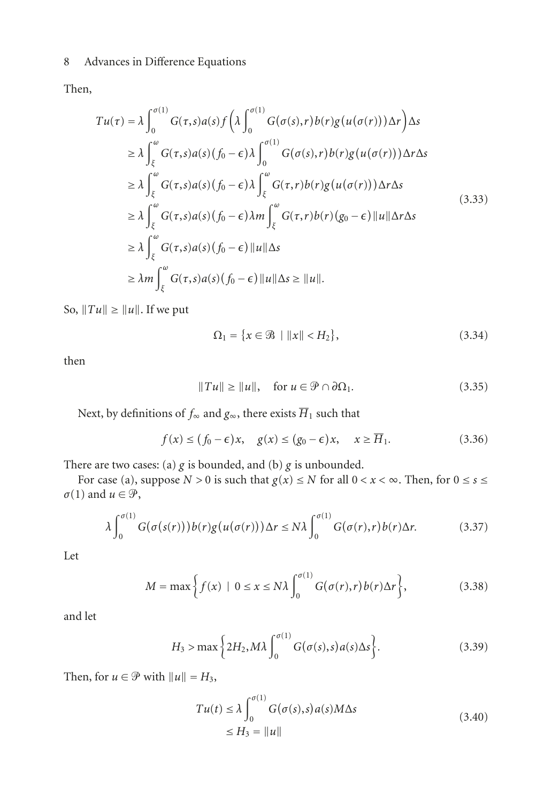Then,

$$
Tu(\tau) = \lambda \int_0^{\sigma(1)} G(\tau, s) a(s) f\left(\lambda \int_0^{\sigma(1)} G(\sigma(s), r) b(r) g(u(\sigma(r))) \Delta r\right) \Delta s
$$
  
\n
$$
\geq \lambda \int_{\xi}^{\omega} G(\tau, s) a(s) (f_0 - \epsilon) \lambda \int_0^{\sigma(1)} G(\sigma(s), r) b(r) g(u(\sigma(r))) \Delta r \Delta s
$$
  
\n
$$
\geq \lambda \int_{\xi}^{\omega} G(\tau, s) a(s) (f_0 - \epsilon) \lambda \int_{\xi}^{\omega} G(\tau, r) b(r) g(u(\sigma(r))) \Delta r \Delta s
$$
  
\n
$$
\geq \lambda \int_{\xi}^{\omega} G(\tau, s) a(s) (f_0 - \epsilon) \lambda m \int_{\xi}^{\omega} G(\tau, r) b(r) (g_0 - \epsilon) ||u|| \Delta r \Delta s
$$
  
\n
$$
\geq \lambda \int_{\xi}^{\omega} G(\tau, s) a(s) (f_0 - \epsilon) ||u|| \Delta s
$$
  
\n
$$
\geq \lambda m \int_{\xi}^{\omega} G(\tau, s) a(s) (f_0 - \epsilon) ||u|| \Delta s \geq ||u||.
$$

So,  $||Tu|| \ge ||u||$ . If we put

$$
\Omega_1 = \{ x \in \mathcal{B} \mid ||x|| < H_2 \},\tag{3.34}
$$

then

$$
||Tu|| \ge ||u||, \quad \text{for } u \in \mathcal{P} \cap \partial \Omega_1. \tag{3.35}
$$

Next, by definitions of  $f_{\infty}$  and  $g_{\infty}$ , there exists  $\overline{H}_1$  such that

$$
f(x) \le (f_0 - \epsilon)x, \quad g(x) \le (g_0 - \epsilon)x, \quad x \ge \overline{H}_1.
$$
 (3.36)

There are two cases: (a) *g* is bounded, and (b) *g* is unbounded.

For case (a), suppose  $N > 0$  is such that  $g(x) \le N$  for all  $0 < x < \infty$ . Then, for  $0 \le s \le$  $\sigma(1)$  and  $u \in \mathcal{P}$ ,

$$
\lambda \int_0^{\sigma(1)} G(\sigma(s(r))) b(r) g(u(\sigma(r))) \Delta r \le N \lambda \int_0^{\sigma(1)} G(\sigma(r), r) b(r) \Delta r.
$$
 (3.37)

Let

$$
M = \max\left\{f(x) \mid 0 \le x \le N\lambda \int_0^{\sigma(1)} G(\sigma(r), r) b(r) \Delta r \right\},\tag{3.38}
$$

and let

$$
H_3 > \max\left\{2H_2, M\lambda \int_0^{\sigma(1)} G(\sigma(s), s) a(s) \Delta s\right\}.
$$
 (3.39)

Then, for  $u \in \mathcal{P}$  with  $||u|| = H_3$ ,

$$
Tu(t) \le \lambda \int_0^{\sigma(1)} G(\sigma(s), s) a(s) M \Delta s
$$
  
\n
$$
\le H_3 = ||u|| \tag{3.40}
$$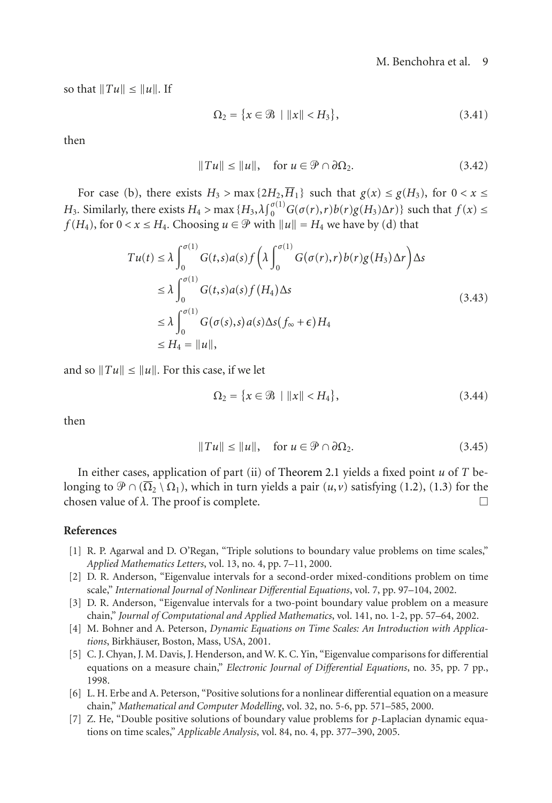so that  $||Tu|| \leq ||u||$ . If

$$
\Omega_2 = \{ x \in \mathcal{B} \mid ||x|| < H_3 \},\tag{3.41}
$$

then

$$
||Tu|| \le ||u||, \quad \text{for } u \in \mathcal{P} \cap \partial \Omega_2. \tag{3.42}
$$

For case (b), there exists  $H_3$  > max { $2H_2$ , $\overline{H}_1$ } such that  $g(x) \le g(H_3)$ , for  $0 < x \le$ *H*<sub>3</sub>. Similarly, there exists  $H_4 > \max{\{H_3, \lambda\}}_0^{\sigma(1)} G(\sigma(r), r) b(r) g(H_3) \Delta r\}$  such that  $f(x) \le f(H_1)$  for  $0 \le r \le H$ . Choosing  $u \in \mathcal{P}$  with  $||u|| = H$ , we have by (d) that *f* (*H*<sub>4</sub>), for  $0 < x \leq H_4$ . Choosing  $u \in \mathcal{P}$  with  $||u|| = H_4$  we have by (d) that

$$
Tu(t) \leq \lambda \int_0^{\sigma(1)} G(t,s)a(s) f\left(\lambda \int_0^{\sigma(1)} G(\sigma(r),r) b(r)g(H_3) \Delta r\right) \Delta s
$$
  
\n
$$
\leq \lambda \int_0^{\sigma(1)} G(t,s)a(s) f(H_4) \Delta s
$$
  
\n
$$
\leq \lambda \int_0^{\sigma(1)} G(\sigma(s),s)a(s) \Delta s(f_\infty + \epsilon) H_4
$$
  
\n
$$
\leq H_4 = ||u||,
$$
\n(3.43)

and so  $||Tu|| \le ||u||$ . For this case, if we let

$$
\Omega_2 = \{ x \in \mathcal{B} \mid ||x|| < H_4 \},\tag{3.44}
$$

then

$$
||Tu|| \le ||u||, \quad \text{for } u \in \mathcal{P} \cap \partial \Omega_2. \tag{3.45}
$$

In either cases, application of part (ii) of [Theorem 2.1](#page-2-0) yields a fixed point *u* of *T* belonging to  $\mathcal{P} \cap (\overline{\Omega}_2 \setminus \Omega_1)$ , which in turn yields a pair  $(u, v)$  satisfying [\(1.2\)](#page-0-0), [\(1.3\)](#page-0-1) for the chosen value of  $\lambda$ . The proof is complete. chosen value of  $\lambda$ . The proof is complete.

## <span id="page-8-0"></span>**References**

- <span id="page-8-1"></span>[1] R. P. Agarwal and D. O'Regan, "Triple solutions to boundary value problems on time scales," *Applied Mathematics Letters*, vol. 13, no. 4, pp. 7–11, 2000.
- [2] D. R. Anderson, "Eigenvalue intervals for a second-order mixed-conditions problem on time scale," *International Journal of Nonlinear Differential Equations*, vol. 7, pp. 97–104, 2002.
- [3] D. R. Anderson, "Eigenvalue intervals for a two-point boundary value problem on a measure chain," *Journal of Computational and Applied Mathematics*, vol. 141, no. 1-2, pp. 57–64, 2002.
- [4] M. Bohner and A. Peterson, *Dynamic Equations on Time Scales: An Introduction with Applica* $tions$ , Birkhäuser, Boston, Mass, USA, 2001.
- [5] C. J. Chyan, J. M. Davis, J. Henderson, and W. K. C. Yin, "Eigenvalue comparisons for differential equations on a measure chain," *Electronic Journal of Differential Equations*, no. 35, pp. 7 pp., 1998.
- <span id="page-8-3"></span>[6] L. H. Erbe and A. Peterson, "Positive solutions for a nonlinear differential equation on a measure chain," *Mathematical and Computer Modelling*, vol. 32, no. 5-6, pp. 571–585, 2000.
- <span id="page-8-2"></span>[7] Z. He, "Double positive solutions of boundary value problems for *p*-Laplacian dynamic equations on time scales," *Applicable Analysis*, vol. 84, no. 4, pp. 377–390, 2005.